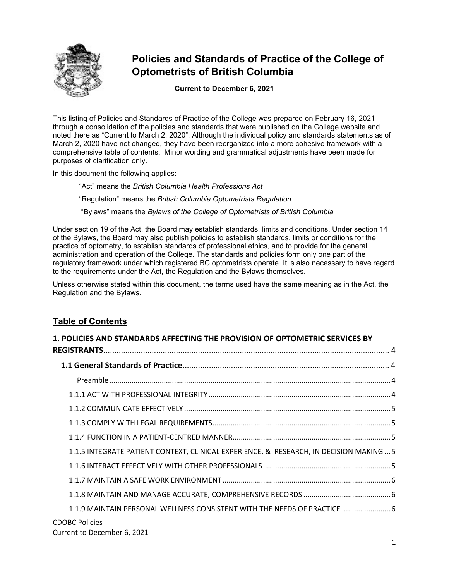

# **Policies and Standards of Practice of the College of Optometrists of British Columbia**

**Current to December 6, 2021**

This listing of Policies and Standards of Practice of the College was prepared on February 16, 2021 through a consolidation of the policies and standards that were published on the College website and noted there as "Current to March 2, 2020". Although the individual policy and standards statements as of March 2, 2020 have not changed, they have been reorganized into a more cohesive framework with a comprehensive table of contents. Minor wording and grammatical adjustments have been made for purposes of clarification only.

In this document the following applies:

"Act" means the *British Columbia Health Professions Act*

"Regulation" means the *British Columbia Optometrists Regulation*

"Bylaws" means the *Bylaws of the College of Optometrists of British Columbia*

Under section 19 of the Act, the Board may establish standards, limits and conditions. Under section 14 of the Bylaws, the Board may also publish policies to establish standards, limits or conditions for the practice of optometry, to establish standards of professional ethics, and to provide for the general administration and operation of the College. The standards and policies form only one part of the regulatory framework under which registered BC optometrists operate. It is also necessary to have regard to the requirements under the Act, the Regulation and the Bylaws themselves.

Unless otherwise stated within this document, the terms used have the same meaning as in the Act, the Regulation and the Bylaws.

## **Table of Contents**

| 1. POLICIES AND STANDARDS AFFECTING THE PROVISION OF OPTOMETRIC SERVICES BY            |
|----------------------------------------------------------------------------------------|
|                                                                                        |
|                                                                                        |
|                                                                                        |
|                                                                                        |
|                                                                                        |
|                                                                                        |
|                                                                                        |
| 1.1.5 INTEGRATE PATIENT CONTEXT, CLINICAL EXPERIENCE, & RESEARCH, IN DECISION MAKING 5 |
|                                                                                        |
|                                                                                        |
|                                                                                        |
| 1.1.9 MAINTAIN PERSONAL WELLNESS CONSISTENT WITH THE NEEDS OF PRACTICE  6              |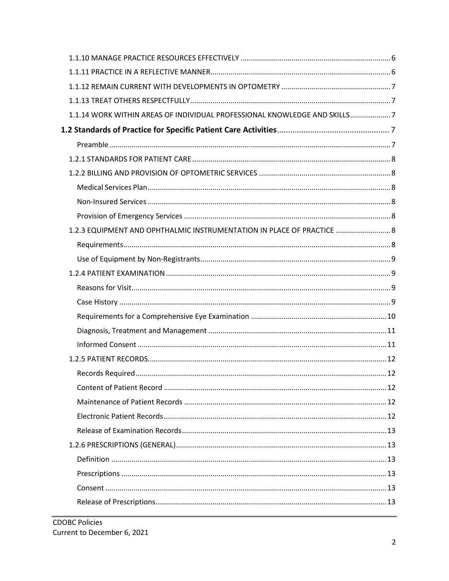| 1.1.14 WORK WITHIN AREAS OF INDIVIDUAL PROFESSIONAL KNOWLEDGE AND SKILLS7 |  |
|---------------------------------------------------------------------------|--|
|                                                                           |  |
|                                                                           |  |
|                                                                           |  |
|                                                                           |  |
|                                                                           |  |
|                                                                           |  |
|                                                                           |  |
| 1.2.3 EQUIPMENT AND OPHTHALMIC INSTRUMENTATION IN PLACE OF PRACTICE  8    |  |
|                                                                           |  |
|                                                                           |  |
|                                                                           |  |
|                                                                           |  |
|                                                                           |  |
|                                                                           |  |
|                                                                           |  |
|                                                                           |  |
|                                                                           |  |
|                                                                           |  |
|                                                                           |  |
|                                                                           |  |
|                                                                           |  |
|                                                                           |  |
|                                                                           |  |
|                                                                           |  |
|                                                                           |  |
|                                                                           |  |
|                                                                           |  |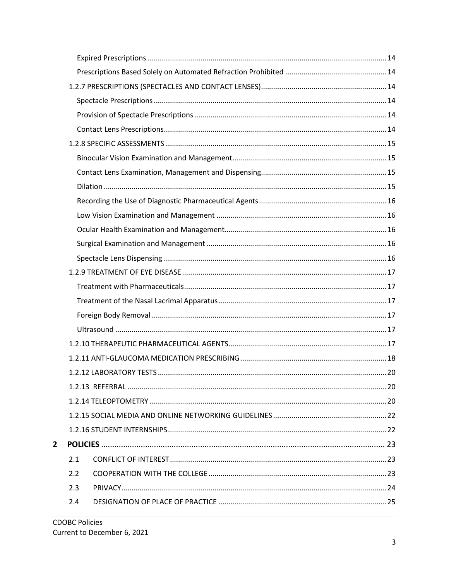| $\overline{2}$ |     |  |
|----------------|-----|--|
|                | 2.1 |  |
|                | 2.2 |  |
|                | 2.3 |  |
|                | 2.4 |  |
|                |     |  |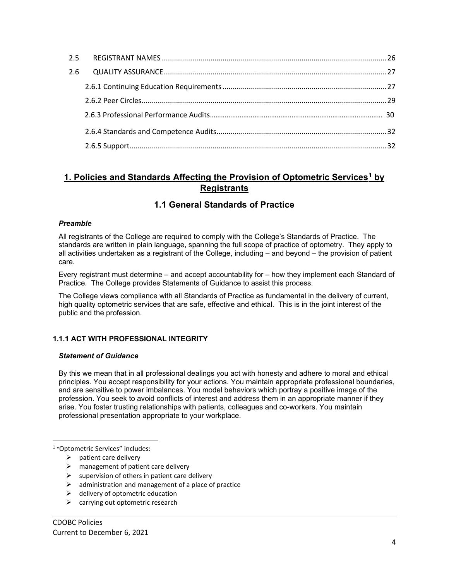| 2.5 |  |
|-----|--|
| 2.6 |  |
|     |  |
|     |  |
|     |  |
|     |  |
|     |  |

## <span id="page-3-0"></span>**1. Policies and Standards Affecting the Provision of Optometric Services[1](#page-3-5) by Registrants**

## **1.1 General Standards of Practice**

## <span id="page-3-2"></span><span id="page-3-1"></span>*Preamble*

All registrants of the College are required to comply with the College's Standards of Practice. The standards are written in plain language, spanning the full scope of practice of optometry. They apply to all activities undertaken as a registrant of the College, including – and beyond – the provision of patient care.

Every registrant must determine – and accept accountability for – how they implement each Standard of Practice. The College provides Statements of Guidance to assist this process.

The College views compliance with all Standards of Practice as fundamental in the delivery of current, high quality optometric services that are safe, effective and ethical. This is in the joint interest of the public and the profession.

## <span id="page-3-3"></span>**1.1.1 ACT WITH PROFESSIONAL INTEGRITY**

## *Statement of Guidance*

By this we mean that in all professional dealings you act with honesty and adhere to moral and ethical principles. You accept responsibility for your actions. You maintain appropriate professional boundaries, and are sensitive to power imbalances. You model behaviors which portray a positive image of the profession. You seek to avoid conflicts of interest and address them in an appropriate manner if they arise. You foster trusting relationships with patients, colleagues and co-workers. You maintain professional presentation appropriate to your workplace.

<span id="page-3-5"></span><span id="page-3-4"></span><sup>1</sup> "Optometric Services" includes:

- $\triangleright$  patient care delivery
- $\triangleright$  management of patient care delivery
- $\triangleright$  supervision of others in patient care delivery
- administration and management of a place of practice
- $\triangleright$  delivery of optometric education
- $\triangleright$  carrying out optometric research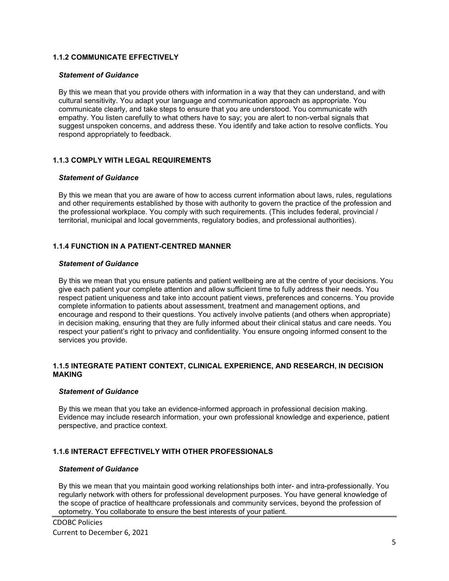## **1.1.2 COMMUNICATE EFFECTIVELY**

#### *Statement of Guidance*

By this we mean that you provide others with information in a way that they can understand, and with cultural sensitivity. You adapt your language and communication approach as appropriate. You communicate clearly, and take steps to ensure that you are understood. You communicate with empathy. You listen carefully to what others have to say; you are alert to non-verbal signals that suggest unspoken concerns, and address these. You identify and take action to resolve conflicts. You respond appropriately to feedback.

## <span id="page-4-0"></span>**1.1.3 COMPLY WITH LEGAL REQUIREMENTS**

#### *Statement of Guidance*

By this we mean that you are aware of how to access current information about laws, rules, regulations and other requirements established by those with authority to govern the practice of the profession and the professional workplace. You comply with such requirements. (This includes federal, provincial / territorial, municipal and local governments, regulatory bodies, and professional authorities).

## <span id="page-4-1"></span>**1.1.4 FUNCTION IN A PATIENT-CENTRED MANNER**

#### *Statement of Guidance*

By this we mean that you ensure patients and patient wellbeing are at the centre of your decisions. You give each patient your complete attention and allow sufficient time to fully address their needs. You respect patient uniqueness and take into account patient views, preferences and concerns. You provide complete information to patients about assessment, treatment and management options, and encourage and respond to their questions. You actively involve patients (and others when appropriate) in decision making, ensuring that they are fully informed about their clinical status and care needs. You respect your patient's right to privacy and confidentiality. You ensure ongoing informed consent to the services you provide.

#### <span id="page-4-2"></span>**1.1.5 INTEGRATE PATIENT CONTEXT, CLINICAL EXPERIENCE, AND RESEARCH, IN DECISION MAKING**

#### *Statement of Guidance*

By this we mean that you take an evidence-informed approach in professional decision making. Evidence may include research information, your own professional knowledge and experience, patient perspective, and practice context.

## <span id="page-4-3"></span>**1.1.6 INTERACT EFFECTIVELY WITH OTHER PROFESSIONALS**

#### *Statement of Guidance*

By this we mean that you maintain good working relationships both inter- and intra-professionally. You regularly network with others for professional development purposes. You have general knowledge of the scope of practice of healthcare professionals and community services, beyond the profession of optometry. You collaborate to ensure the best interests of your patient.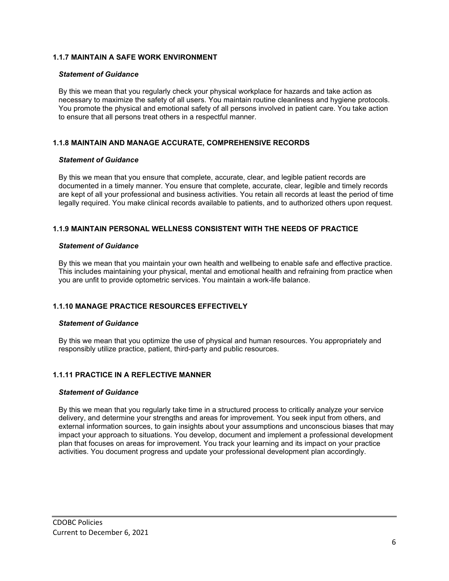## <span id="page-5-0"></span>**1.1.7 MAINTAIN A SAFE WORK ENVIRONMENT**

#### *Statement of Guidance*

By this we mean that you regularly check your physical workplace for hazards and take action as necessary to maximize the safety of all users. You maintain routine cleanliness and hygiene protocols. You promote the physical and emotional safety of all persons involved in patient care. You take action to ensure that all persons treat others in a respectful manner.

## <span id="page-5-1"></span>**1.1.8 MAINTAIN AND MANAGE ACCURATE, COMPREHENSIVE RECORDS**

#### *Statement of Guidance*

By this we mean that you ensure that complete, accurate, clear, and legible patient records are documented in a timely manner. You ensure that complete, accurate, clear, legible and timely records are kept of all your professional and business activities. You retain all records at least the period of time legally required. You make clinical records available to patients, and to authorized others upon request.

## <span id="page-5-2"></span>**1.1.9 MAINTAIN PERSONAL WELLNESS CONSISTENT WITH THE NEEDS OF PRACTICE**

#### *Statement of Guidance*

By this we mean that you maintain your own health and wellbeing to enable safe and effective practice. This includes maintaining your physical, mental and emotional health and refraining from practice when you are unfit to provide optometric services. You maintain a work-life balance.

## <span id="page-5-3"></span>**1.1.10 MANAGE PRACTICE RESOURCES EFFECTIVELY**

## *Statement of Guidance*

By this we mean that you optimize the use of physical and human resources. You appropriately and responsibly utilize practice, patient, third-party and public resources.

## <span id="page-5-4"></span>**1.1.11 PRACTICE IN A REFLECTIVE MANNER**

#### *Statement of Guidance*

<span id="page-5-5"></span>By this we mean that you regularly take time in a structured process to critically analyze your service delivery, and determine your strengths and areas for improvement. You seek input from others, and external information sources, to gain insights about your assumptions and unconscious biases that may impact your approach to situations. You develop, document and implement a professional development plan that focuses on areas for improvement. You track your learning and its impact on your practice activities. You document progress and update your professional development plan accordingly.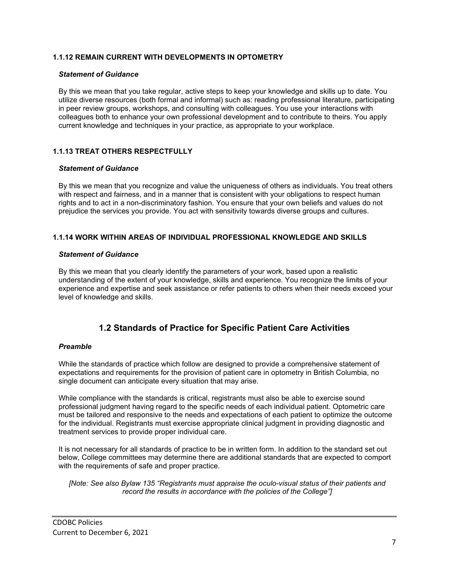## **1.1.12 REMAIN CURRENT WITH DEVELOPMENTS IN OPTOMETRY**

#### *Statement of Guidance*

By this we mean that you take regular, active steps to keep your knowledge and skills up to date. You utilize diverse resources (both formal and informal) such as: reading professional literature, participating in peer review groups, workshops, and consulting with colleagues. You use your interactions with colleagues both to enhance your own professional development and to contribute to theirs. You apply current knowledge and techniques in your practice, as appropriate to your workplace.

## <span id="page-6-0"></span>**1.1.13 TREAT OTHERS RESPECTFULLY**

#### *Statement of Guidance*

By this we mean that you recognize and value the uniqueness of others as individuals. You treat others with respect and fairness, and in a manner that is consistent with your obligations to respect human rights and to act in a non-discriminatory fashion. You ensure that your own beliefs and values do not prejudice the services you provide. You act with sensitivity towards diverse groups and cultures.

## <span id="page-6-1"></span>**1.1.14 WORK WITHIN AREAS OF INDIVIDUAL PROFESSIONAL KNOWLEDGE AND SKILLS**

#### *Statement of Guidance*

By this we mean that you clearly identify the parameters of your work, based upon a realistic understanding of the extent of your knowledge, skills and experience. You recognize the limits of your experience and expertise and seek assistance or refer patients to others when their needs exceed your level of knowledge and skills.

## **1.2 Standards of Practice for Specific Patient Care Activities**

## <span id="page-6-3"></span><span id="page-6-2"></span>*Preamble*

While the standards of practice which follow are designed to provide a comprehensive statement of expectations and requirements for the provision of patient care in optometry in British Columbia, no single document can anticipate every situation that may arise.

While compliance with the standards is critical, registrants must also be able to exercise sound professional judgment having regard to the specific needs of each individual patient. Optometric care must be tailored and responsive to the needs and expectations of each patient to optimize the outcome for the individual. Registrants must exercise appropriate clinical judgment in providing diagnostic and treatment services to provide proper individual care.

It is not necessary for all standards of practice to be in written form. In addition to the standard set out below, College committees may determine there are additional standards that are expected to comport with the requirements of safe and proper practice.

<span id="page-6-4"></span>*[Note: See also Bylaw 135 "Registrants must appraise the oculo-visual status of their patients and record the results in accordance with the policies of the College"]*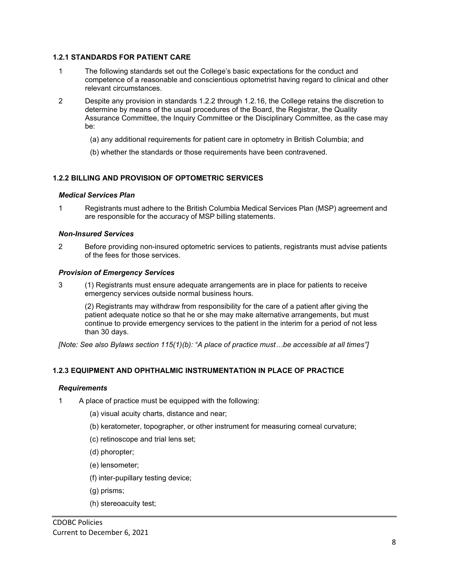## **1.2.1 STANDARDS FOR PATIENT CARE**

- 1 The following standards set out the College's basic expectations for the conduct and competence of a reasonable and conscientious optometrist having regard to clinical and other relevant circumstances.
- 2 Despite any provision in standards 1.2.2 through 1.2.16, the College retains the discretion to determine by means of the usual procedures of the Board, the Registrar, the Quality Assurance Committee, the Inquiry Committee or the Disciplinary Committee, as the case may be:
	- (a) any additional requirements for patient care in optometry in British Columbia; and
	- (b) whether the standards or those requirements have been contravened.

## <span id="page-7-0"></span>**1.2.2 BILLING AND PROVISION OF OPTOMETRIC SERVICES**

#### <span id="page-7-1"></span>*Medical Services Plan*

1 Registrants must adhere to the British Columbia Medical Services Plan (MSP) agreement and are responsible for the accuracy of MSP billing statements.

#### <span id="page-7-2"></span>*Non-Insured Services*

2 Before providing non-insured optometric services to patients, registrants must advise patients of the fees for those services.

#### <span id="page-7-3"></span>*Provision of Emergency Services*

3 (1) Registrants must ensure adequate arrangements are in place for patients to receive emergency services outside normal business hours.

(2) Registrants may withdraw from responsibility for the care of a patient after giving the patient adequate notice so that he or she may make alternative arrangements, but must continue to provide emergency services to the patient in the interim for a period of not less than 30 days.

<span id="page-7-4"></span>*[Note: See also Bylaws section 115(1)(b): "A place of practice must…be accessible at all times"]*

## **1.2.3 EQUIPMENT AND OPHTHALMIC INSTRUMENTATION IN PLACE OF PRACTICE**

## <span id="page-7-5"></span>*Requirements*

- 1 A place of practice must be equipped with the following:
	- (a) visual acuity charts, distance and near;
	- (b) keratometer, topographer, or other instrument for measuring corneal curvature;
	- (c) retinoscope and trial lens set;
	- (d) phoropter;
	- (e) lensometer;
	- (f) inter-pupillary testing device;
	- (g) prisms;
	- (h) stereoacuity test;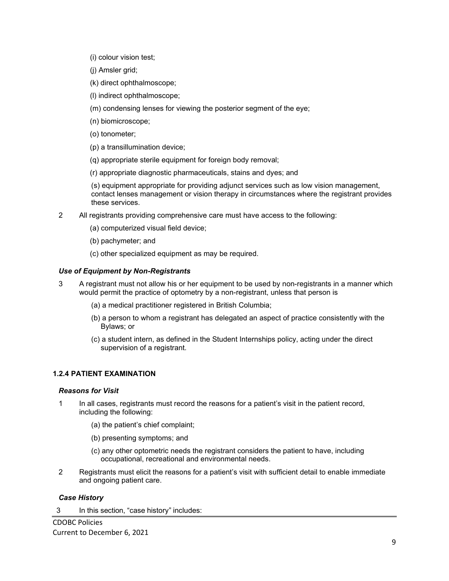- (i) colour vision test;
- (j) Amsler grid;
- (k) direct ophthalmoscope;
- (l) indirect ophthalmoscope;
- (m) condensing lenses for viewing the posterior segment of the eye;
- (n) biomicroscope;
- (o) tonometer;
- (p) a transillumination device;
- (q) appropriate sterile equipment for foreign body removal;
- (r) appropriate diagnostic pharmaceuticals, stains and dyes; and

(s) equipment appropriate for providing adjunct services such as low vision management, contact lenses management or vision therapy in circumstances where the registrant provides these services.

- 2 All registrants providing comprehensive care must have access to the following:
	- (a) computerized visual field device;
	- (b) pachymeter; and
	- (c) other specialized equipment as may be required.

## <span id="page-8-0"></span>*Use of Equipment by Non-Registrants*

- 3 A registrant must not allow his or her equipment to be used by non-registrants in a manner which would permit the practice of optometry by a non-registrant, unless that person is
	- (a) a medical practitioner registered in British Columbia;
	- (b) a person to whom a registrant has delegated an aspect of practice consistently with the Bylaws; or
	- (c) a student intern, as defined in the Student Internships policy, acting under the direct supervision of a registrant.

## <span id="page-8-1"></span>**1.2.4 PATIENT EXAMINATION**

## <span id="page-8-2"></span>*Reasons for Visit*

- 1 In all cases, registrants must record the reasons for a patient's visit in the patient record, including the following:
	- (a) the patient's chief complaint;
	- (b) presenting symptoms; and
	- (c) any other optometric needs the registrant considers the patient to have, including occupational, recreational and environmental needs.
- 2 Registrants must elicit the reasons for a patient's visit with sufficient detail to enable immediate and ongoing patient care.

## <span id="page-8-3"></span>*Case History*

3 In this section, "case history" includes: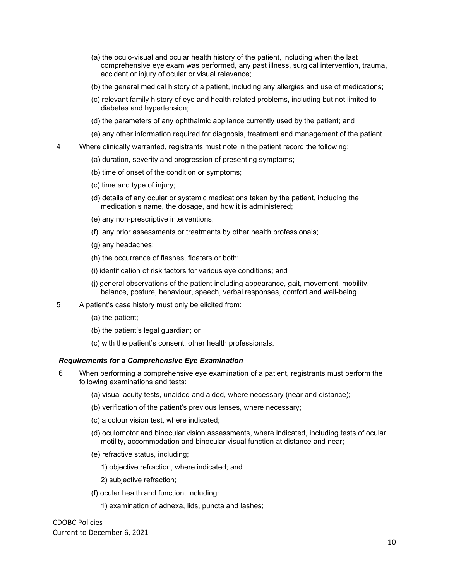- (a) the oculo-visual and ocular health history of the patient, including when the last comprehensive eye exam was performed, any past illness, surgical intervention, trauma, accident or injury of ocular or visual relevance;
- (b) the general medical history of a patient, including any allergies and use of medications;
- (c) relevant family history of eye and health related problems, including but not limited to diabetes and hypertension;
- (d) the parameters of any ophthalmic appliance currently used by the patient; and
- (e) any other information required for diagnosis, treatment and management of the patient.
- 4 Where clinically warranted, registrants must note in the patient record the following:
	- (a) duration, severity and progression of presenting symptoms;
	- (b) time of onset of the condition or symptoms;
	- (c) time and type of injury;
	- (d) details of any ocular or systemic medications taken by the patient, including the medication's name, the dosage, and how it is administered;
	- (e) any non-prescriptive interventions;
	- (f) any prior assessments or treatments by other health professionals;
	- (g) any headaches;
	- (h) the occurrence of flashes, floaters or both;
	- (i) identification of risk factors for various eye conditions; and
	- (j) general observations of the patient including appearance, gait, movement, mobility, balance, posture, behaviour, speech, verbal responses, comfort and well-being.
- 5 A patient's case history must only be elicited from:
	- (a) the patient;
	- (b) the patient's legal guardian; or
	- (c) with the patient's consent, other health professionals.

## <span id="page-9-0"></span>*Requirements for a Comprehensive Eye Examination*

- 6 When performing a comprehensive eye examination of a patient, registrants must perform the following examinations and tests:
	- (a) visual acuity tests, unaided and aided, where necessary (near and distance);
	- (b) verification of the patient's previous lenses, where necessary;
	- (c) a colour vision test, where indicated;
	- (d) oculomotor and binocular vision assessments, where indicated, including tests of ocular motility, accommodation and binocular visual function at distance and near;
	- (e) refractive status, including;
		- 1) objective refraction, where indicated; and
		- 2) subjective refraction;
	- (f) ocular health and function, including:
		- 1) examination of adnexa, lids, puncta and lashes;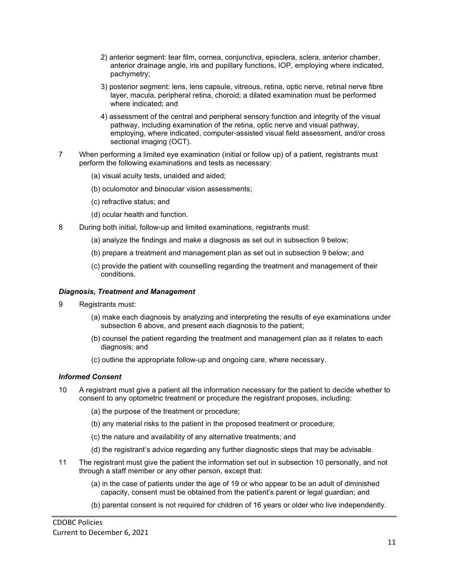- 2) anterior segment: tear film, cornea, conjunctiva, episclera, sclera, anterior chamber, anterior drainage angle, iris and pupillary functions, IOP, employing where indicated, pachymetry;
- 3) posterior segment: lens, lens capsule, vitreous, retina, optic nerve, retinal nerve fibre layer, macula, peripheral retina, choroid; a dilated examination must be performed where indicated; and
- 4) assessment of the central and peripheral sensory function and integrity of the visual pathway, including examination of the retina, optic nerve and visual pathway, employing, where indicated, computer-assisted visual field assessment, and/or cross sectional imaging (OCT).
- 7 When performing a limited eye examination (initial or follow up) of a patient, registrants must perform the following examinations and tests as necessary:
	- (a) visual acuity tests, unaided and aided;
	- (b) oculomotor and binocular vision assessments;
	- (c) refractive status; and
	- (d) ocular health and function.
- 8 During both initial, follow-up and limited examinations, registrants must:
	- (a) analyze the findings and make a diagnosis as set out in subsection 9 below;
	- (b) prepare a treatment and management plan as set out in subsection 9 below; and
	- (c) provide the patient with counselling regarding the treatment and management of their conditions.

#### <span id="page-10-0"></span>*Diagnosis, Treatment and Management*

- 9 Registrants must:
	- (a) make each diagnosis by analyzing and interpreting the results of eye examinations under subsection 6 above, and present each diagnosis to the patient;
	- (b) counsel the patient regarding the treatment and management plan as it relates to each diagnosis; and
	- (c) outline the appropriate follow-up and ongoing care, where necessary.

## <span id="page-10-1"></span>*Informed Consent*

- 10 A registrant must give a patient all the information necessary for the patient to decide whether to consent to any optometric treatment or procedure the registrant proposes, including:
	- (a) the purpose of the treatment or procedure;
	- (b) any material risks to the patient in the proposed treatment or procedure;
	- (c) the nature and availability of any alternative treatments; and
	- (d) the registrant's advice regarding any further diagnostic steps that may be advisable.
- 11 The registrant must give the patient the information set out in subsection 10 personally, and not through a staff member or any other person, except that:
	- (a) in the case of patients under the age of 19 or who appear to be an adult of diminished capacity, consent must be obtained from the patient's parent or legal guardian; and
	- (b) parental consent is not required for children of 16 years or older who live independently.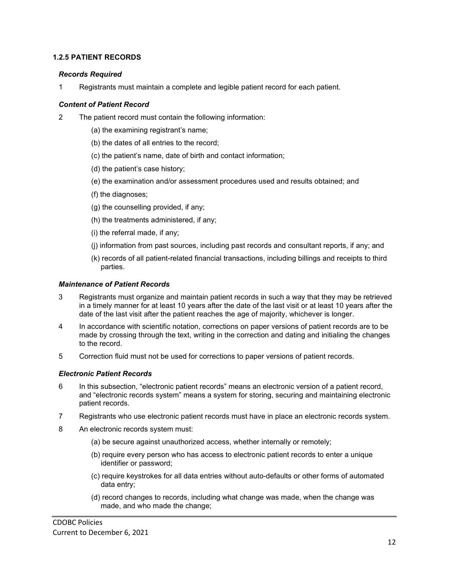## <span id="page-11-0"></span>**1.2.5 PATIENT RECORDS**

## <span id="page-11-1"></span>*Records Required*

1 Registrants must maintain a complete and legible patient record for each patient.

## <span id="page-11-2"></span>*Content of Patient Record*

- 2 The patient record must contain the following information:
	- (a) the examining registrant's name;
	- (b) the dates of all entries to the record;
	- (c) the patient's name, date of birth and contact information;
	- (d) the patient's case history;
	- (e) the examination and/or assessment procedures used and results obtained; and
	- (f) the diagnoses;
	- (g) the counselling provided, if any;
	- (h) the treatments administered, if any;
	- (i) the referral made, if any;
	- (j) information from past sources, including past records and consultant reports, if any; and
	- (k) records of all patient-related financial transactions, including billings and receipts to third parties.

## <span id="page-11-3"></span>*Maintenance of Patient Records*

- 3 Registrants must organize and maintain patient records in such a way that they may be retrieved in a timely manner for at least 10 years after the date of the last visit or at least 10 years after the date of the last visit after the patient reaches the age of majority, whichever is longer.
- 4 In accordance with scientific notation, corrections on paper versions of patient records are to be made by crossing through the text, writing in the correction and dating and initialing the changes to the record.
- 5 Correction fluid must not be used for corrections to paper versions of patient records.

## <span id="page-11-4"></span>*Electronic Patient Records*

- 6 In this subsection, "electronic patient records" means an electronic version of a patient record, and "electronic records system" means a system for storing, securing and maintaining electronic patient records.
- 7 Registrants who use electronic patient records must have in place an electronic records system.
- 8 An electronic records system must:
	- (a) be secure against unauthorized access, whether internally or remotely;
	- (b) require every person who has access to electronic patient records to enter a unique identifier or password;
	- (c) require keystrokes for all data entries without auto-defaults or other forms of automated data entry;
	- (d) record changes to records, including what change was made, when the change was made, and who made the change;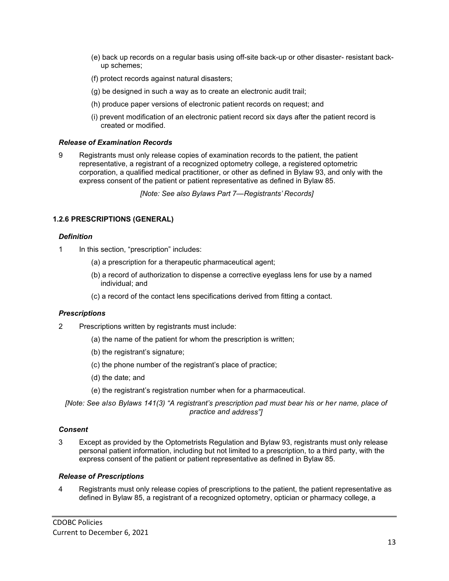- (e) back up records on a regular basis using off-site back-up or other disaster- resistant backup schemes;
- (f) protect records against natural disasters;
- (g) be designed in such a way as to create an electronic audit trail;
- (h) produce paper versions of electronic patient records on request; and
- (i) prevent modification of an electronic patient record six days after the patient record is created or modified.

#### <span id="page-12-0"></span>*Release of Examination Records*

9 Registrants must only release copies of examination records to the patient, the patient representative, a registrant of a recognized optometry college, a registered optometric corporation, a qualified medical practitioner, or other as defined in Bylaw 93, and only with the express consent of the patient or patient representative as defined in Bylaw 85.

*[Note: See also Bylaws Part 7—Registrants' Records]*

## <span id="page-12-1"></span>**1.2.6 PRESCRIPTIONS (GENERAL)**

#### <span id="page-12-2"></span>*Definition*

- 1 In this section, "prescription" includes:
	- (a) a prescription for a therapeutic pharmaceutical agent;
	- (b) a record of authorization to dispense a corrective eyeglass lens for use by a named individual; and
	- (c) a record of the contact lens specifications derived from fitting a contact.

## <span id="page-12-3"></span>*Prescriptions*

- 2 Prescriptions written by registrants must include:
	- (a) the name of the patient for whom the prescription is written;
	- (b) the registrant's signature;
	- (c) the phone number of the registrant's place of practice;
	- (d) the date; and
	- (e) the registrant's registration number when for a pharmaceutical.

*[Note: See also Bylaws 141(3) "A registrant's prescription pad must bear his or her name, place of practice and address"]*

## <span id="page-12-4"></span>*Consent*

3 Except as provided by the Optometrists Regulation and Bylaw 93, registrants must only release personal patient information, including but not limited to a prescription, to a third party, with the express consent of the patient or patient representative as defined in Bylaw 85.

#### <span id="page-12-5"></span>*Release of Prescriptions*

4 Registrants must only release copies of prescriptions to the patient, the patient representative as defined in Bylaw 85, a registrant of a recognized optometry, optician or pharmacy college, a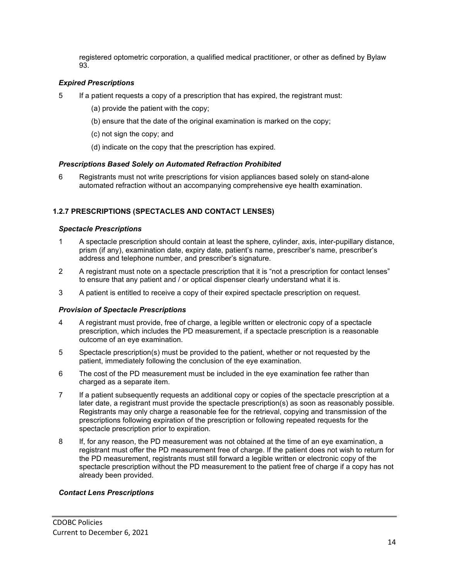registered optometric corporation, a qualified medical practitioner, or other as defined by Bylaw 93.

## <span id="page-13-0"></span>*Expired Prescriptions*

- 5 If a patient requests a copy of a prescription that has expired, the registrant must:
	- (a) provide the patient with the copy;
	- (b) ensure that the date of the original examination is marked on the copy;
	- (c) not sign the copy; and
	- (d) indicate on the copy that the prescription has expired.

## <span id="page-13-1"></span>*Prescriptions Based Solely on Automated Refraction Prohibited*

6 Registrants must not write prescriptions for vision appliances based solely on stand-alone automated refraction without an accompanying comprehensive eye health examination.

## <span id="page-13-2"></span>**1.2.7 PRESCRIPTIONS (SPECTACLES AND CONTACT LENSES)**

## <span id="page-13-3"></span>*Spectacle Prescriptions*

- 1 A spectacle prescription should contain at least the sphere, cylinder, axis, inter-pupillary distance, prism (if any), examination date, expiry date, patient's name, prescriber's name, prescriber's address and telephone number, and prescriber's signature.
- 2 A registrant must note on a spectacle prescription that it is "not a prescription for contact lenses" to ensure that any patient and / or optical dispenser clearly understand what it is.
- 3 A patient is entitled to receive a copy of their expired spectacle prescription on request.

## <span id="page-13-4"></span>*Provision of Spectacle Prescriptions*

- 4 A registrant must provide, free of charge, a legible written or electronic copy of a spectacle prescription, which includes the PD measurement, if a spectacle prescription is a reasonable outcome of an eye examination.
- 5 Spectacle prescription(s) must be provided to the patient, whether or not requested by the patient, immediately following the conclusion of the eye examination.
- 6 The cost of the PD measurement must be included in the eye examination fee rather than charged as a separate item.
- 7 If a patient subsequently requests an additional copy or copies of the spectacle prescription at a later date, a registrant must provide the spectacle prescription(s) as soon as reasonably possible. Registrants may only charge a reasonable fee for the retrieval, copying and transmission of the prescriptions following expiration of the prescription or following repeated requests for the spectacle prescription prior to expiration.
- 8 If, for any reason, the PD measurement was not obtained at the time of an eye examination, a registrant must offer the PD measurement free of charge. If the patient does not wish to return for the PD measurement, registrants must still forward a legible written or electronic copy of the spectacle prescription without the PD measurement to the patient free of charge if a copy has not already been provided.

## <span id="page-13-5"></span>*Contact Lens Prescriptions*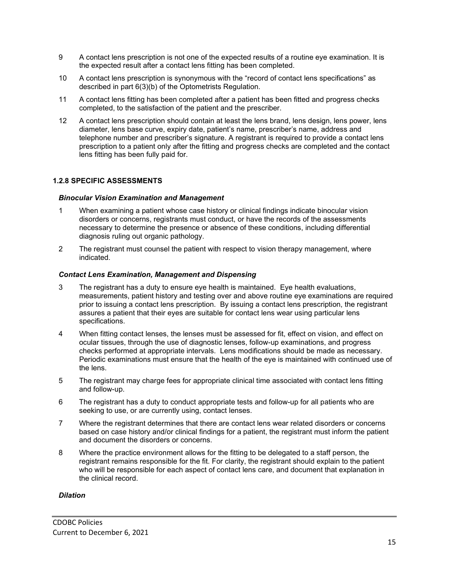- 9 A contact lens prescription is not one of the expected results of a routine eye examination. It is the expected result after a contact lens fitting has been completed.
- 10 A contact lens prescription is synonymous with the "record of contact lens specifications" as described in part 6(3)(b) of the Optometrists Regulation.
- 11 A contact lens fitting has been completed after a patient has been fitted and progress checks completed, to the satisfaction of the patient and the prescriber.
- 12 A contact lens prescription should contain at least the lens brand, lens design, lens power, lens diameter, lens base curve, expiry date, patient's name, prescriber's name, address and telephone number and prescriber's signature. A registrant is required to provide a contact lens prescription to a patient only after the fitting and progress checks are completed and the contact lens fitting has been fully paid for.

## <span id="page-14-0"></span>**1.2.8 SPECIFIC ASSESSMENTS**

#### <span id="page-14-1"></span>*Binocular Vision Examination and Management*

- 1 When examining a patient whose case history or clinical findings indicate binocular vision disorders or concerns, registrants must conduct, or have the records of the assessments necessary to determine the presence or absence of these conditions, including differential diagnosis ruling out organic pathology.
- 2 The registrant must counsel the patient with respect to vision therapy management, where indicated.

#### <span id="page-14-2"></span>*Contact Lens Examination, Management and Dispensing*

- 3 The registrant has a duty to ensure eye health is maintained. Eye health evaluations, measurements, patient history and testing over and above routine eye examinations are required prior to issuing a contact lens prescription. By issuing a contact lens prescription, the registrant assures a patient that their eyes are suitable for contact lens wear using particular lens specifications.
- 4 When fitting contact lenses, the lenses must be assessed for fit, effect on vision, and effect on ocular tissues, through the use of diagnostic lenses, follow-up examinations, and progress checks performed at appropriate intervals. Lens modifications should be made as necessary. Periodic examinations must ensure that the health of the eye is maintained with continued use of the lens.
- 5 The registrant may charge fees for appropriate clinical time associated with contact lens fitting and follow-up.
- 6 The registrant has a duty to conduct appropriate tests and follow-up for all patients who are seeking to use, or are currently using, contact lenses.
- 7 Where the registrant determines that there are contact lens wear related disorders or concerns based on case history and/or clinical findings for a patient, the registrant must inform the patient and document the disorders or concerns.
- 8 Where the practice environment allows for the fitting to be delegated to a staff person, the registrant remains responsible for the fit. For clarity, the registrant should explain to the patient who will be responsible for each aspect of contact lens care, and document that explanation in the clinical record.

#### <span id="page-14-3"></span>*Dilation*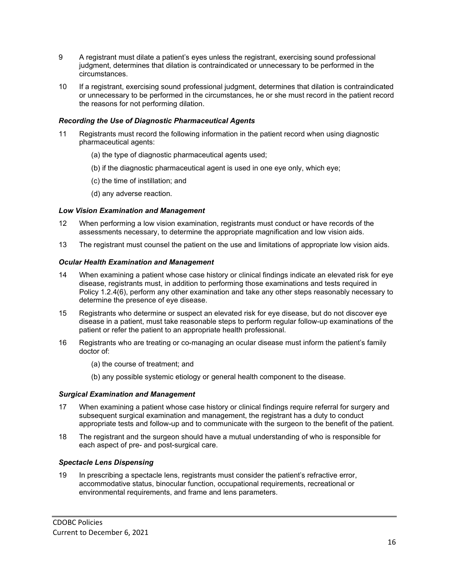- 9 A registrant must dilate a patient's eyes unless the registrant, exercising sound professional judgment, determines that dilation is contraindicated or unnecessary to be performed in the circumstances.
- 10 If a registrant, exercising sound professional judgment, determines that dilation is contraindicated or unnecessary to be performed in the circumstances, he or she must record in the patient record the reasons for not performing dilation.

## <span id="page-15-0"></span>*Recording the Use of Diagnostic Pharmaceutical Agents*

- 11 Registrants must record the following information in the patient record when using diagnostic pharmaceutical agents:
	- (a) the type of diagnostic pharmaceutical agents used;
	- (b) if the diagnostic pharmaceutical agent is used in one eye only, which eye;
	- (c) the time of instillation; and
	- (d) any adverse reaction.

#### <span id="page-15-1"></span>*Low Vision Examination and Management*

- 12 When performing a low vision examination, registrants must conduct or have records of the assessments necessary, to determine the appropriate magnification and low vision aids.
- 13 The registrant must counsel the patient on the use and limitations of appropriate low vision aids.

#### <span id="page-15-2"></span>*Ocular Health Examination and Management*

- 14 When examining a patient whose case history or clinical findings indicate an elevated risk for eye disease, registrants must, in addition to performing those examinations and tests required in Policy 1.2.4(6), perform any other examination and take any other steps reasonably necessary to determine the presence of eye disease.
- 15 Registrants who determine or suspect an elevated risk for eye disease, but do not discover eye disease in a patient, must take reasonable steps to perform regular follow-up examinations of the patient or refer the patient to an appropriate health professional.
- 16 Registrants who are treating or co-managing an ocular disease must inform the patient's family doctor of:
	- (a) the course of treatment; and
	- (b) any possible systemic etiology or general health component to the disease.

## <span id="page-15-3"></span>*Surgical Examination and Management*

- 17 When examining a patient whose case history or clinical findings require referral for surgery and subsequent surgical examination and management, the registrant has a duty to conduct appropriate tests and follow-up and to communicate with the surgeon to the benefit of the patient.
- <span id="page-15-4"></span>18 The registrant and the surgeon should have a mutual understanding of who is responsible for each aspect of pre- and post-surgical care.

## *Spectacle Lens Dispensing*

19 In prescribing a spectacle lens, registrants must consider the patient's refractive error, accommodative status, binocular function, occupational requirements, recreational or environmental requirements, and frame and lens parameters.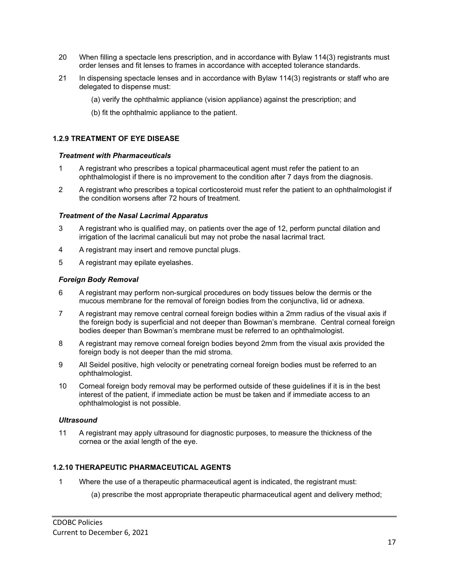- 20 When filling a spectacle lens prescription, and in accordance with Bylaw 114(3) registrants must order lenses and fit lenses to frames in accordance with accepted tolerance standards.
- 21 In dispensing spectacle lenses and in accordance with Bylaw 114(3) registrants or staff who are delegated to dispense must:
	- (a) verify the ophthalmic appliance (vision appliance) against the prescription; and
	- (b) fit the ophthalmic appliance to the patient.

## <span id="page-16-0"></span>**1.2.9 TREATMENT OF EYE DISEASE**

#### <span id="page-16-1"></span>*Treatment with Pharmaceuticals*

- 1 A registrant who prescribes a topical pharmaceutical agent must refer the patient to an ophthalmologist if there is no improvement to the condition after 7 days from the diagnosis.
- 2 A registrant who prescribes a topical corticosteroid must refer the patient to an ophthalmologist if the condition worsens after 72 hours of treatment.

## <span id="page-16-2"></span>*Treatment of the Nasal Lacrimal Apparatus*

- 3 A registrant who is qualified may, on patients over the age of 12, perform punctal dilation and irrigation of the lacrimal canaliculi but may not probe the nasal lacrimal tract.
- 4 A registrant may insert and remove punctal plugs.
- 5 A registrant may epilate eyelashes.

#### <span id="page-16-3"></span>*Foreign Body Removal*

- 6 A registrant may perform non-surgical procedures on body tissues below the dermis or the mucous membrane for the removal of foreign bodies from the conjunctiva, lid or adnexa.
- 7 A registrant may remove central corneal foreign bodies within a 2mm radius of the visual axis if the foreign body is superficial and not deeper than Bowman's membrane. Central corneal foreign bodies deeper than Bowman's membrane must be referred to an ophthalmologist.
- 8 A registrant may remove corneal foreign bodies beyond 2mm from the visual axis provided the foreign body is not deeper than the mid stroma.
- 9 All Seidel positive, high velocity or penetrating corneal foreign bodies must be referred to an ophthalmologist.
- 10 Corneal foreign body removal may be performed outside of these guidelines if it is in the best interest of the patient, if immediate action be must be taken and if immediate access to an ophthalmologist is not possible.

## <span id="page-16-4"></span>*Ultrasound*

11 A registrant may apply ultrasound for diagnostic purposes, to measure the thickness of the cornea or the axial length of the eye.

## <span id="page-16-5"></span>**1.2.10 THERAPEUTIC PHARMACEUTICAL AGENTS**

- 1 Where the use of a therapeutic pharmaceutical agent is indicated, the registrant must:
	- (a) prescribe the most appropriate therapeutic pharmaceutical agent and delivery method;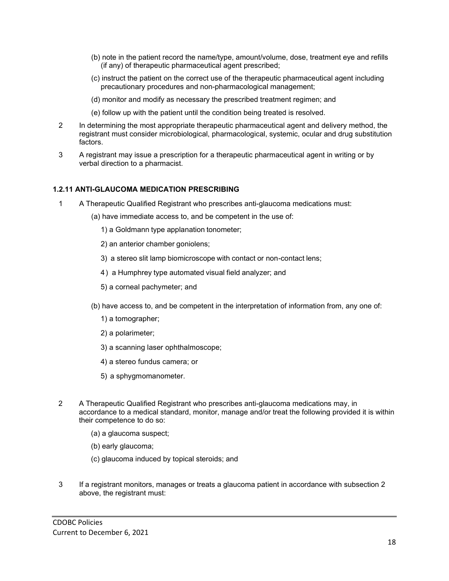- (b) note in the patient record the name/type, amount/volume, dose, treatment eye and refills (if any) of therapeutic pharmaceutical agent prescribed;
- (c) instruct the patient on the correct use of the therapeutic pharmaceutical agent including precautionary procedures and non-pharmacological management;
- (d) monitor and modify as necessary the prescribed treatment regimen; and
- (e) follow up with the patient until the condition being treated is resolved.
- 2 In determining the most appropriate therapeutic pharmaceutical agent and delivery method, the registrant must consider microbiological, pharmacological, systemic, ocular and drug substitution factors.
- 3 A registrant may issue a prescription for a therapeutic pharmaceutical agent in writing or by verbal direction to a pharmacist.

## <span id="page-17-0"></span>**1.2.11 ANTI-GLAUCOMA MEDICATION PRESCRIBING**

- 1 A Therapeutic Qualified Registrant who prescribes anti-glaucoma medications must:
	- (a) have immediate access to, and be competent in the use of:
		- 1) a Goldmann type applanation tonometer;
		- 2) an anterior chamber goniolens;
		- 3) a stereo slit lamp biomicroscope with contact or non-contact lens;
		- 4) a Humphrey type automated visual field analyzer; and
		- 5) a corneal pachymeter; and
	- (b) have access to, and be competent in the interpretation of information from, any one of:
		- 1) a tomographer;
		- 2) a polarimeter;
		- 3) a scanning laser ophthalmoscope;
		- 4) a stereo fundus camera; or
		- 5) a sphygmomanometer.
- 2 A Therapeutic Qualified Registrant who prescribes anti-glaucoma medications may, in accordance to a medical standard, monitor, manage and/or treat the following provided it is within their competence to do so:
	- (a) a glaucoma suspect;
	- (b) early glaucoma;
	- (c) glaucoma induced by topical steroids; and
- 3 If a registrant monitors, manages or treats a glaucoma patient in accordance with subsection 2 above, the registrant must: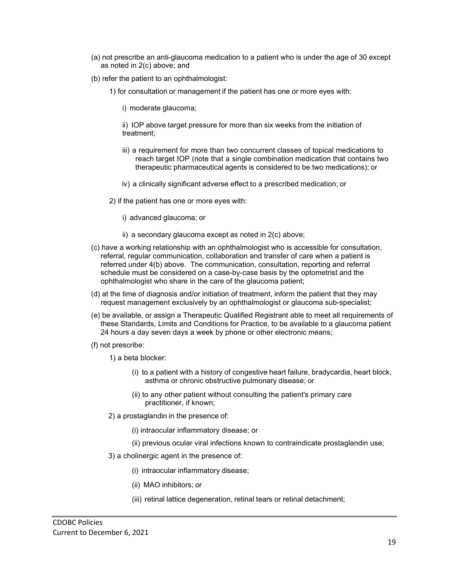- (a) not prescribe an anti-glaucoma medication to a patient who is under the age of 30 except as noted in 2(c) above; and
- (b) refer the patient to an ophthalmologist:
	- 1) for consultation or management if the patient has one or more eyes with:
		- i) moderate glaucoma;
		- ii) IOP above target pressure for more than six weeks from the initiation of treatment;
		- iii) a requirement for more than two concurrent classes of topical medications to reach target IOP (note that a single combination medication that contains two therapeutic pharmaceutical agents is considered to be two medications); or
		- iv) a clinically significant adverse effect to a prescribed medication; or
	- 2) if the patient has one or more eyes with:
		- i) advanced glaucoma; or
		- ii) a secondary glaucoma except as noted in 2(c) above;
- (c) have a working relationship with an ophthalmologist who is accessible for consultation, referral, regular communication, collaboration and transfer of care when a patient is referred under 4(b) above. The communication, consultation, reporting and referral schedule must be considered on a case-by-case basis by the optometrist and the ophthalmologist who share in the care of the glaucoma patient;
- (d) at the time of diagnosis and/or initiation of treatment, inform the patient that they may request management exclusively by an ophthalmologist or glaucoma sub-specialist;
- (e) be available, or assign a Therapeutic Qualified Registrant able to meet all requirements of these Standards, Limits and Conditions for Practice, to be available to a glaucoma patient 24 hours a day seven days a week by phone or other electronic means;
- (f) not prescribe:
	- 1) a beta blocker:
		- (i) to a patient with a history of congestive heart failure, bradycardia, heart block, asthma or chronic obstructive pulmonary disease; or
		- (ii) to any other patient without consulting the patient's primary care practitioner, if known;
	- 2) a prostaglandin in the presence of:
		- (i) intraocular inflammatory disease; or
		- (ii) previous ocular viral infections known to contraindicate prostaglandin use;
	- 3) a cholinergic agent in the presence of:
		- (i) intraocular inflammatory disease;
		- (ii) MAO inhibitors; or
		- (iii) retinal lattice degeneration, retinal tears or retinal detachment;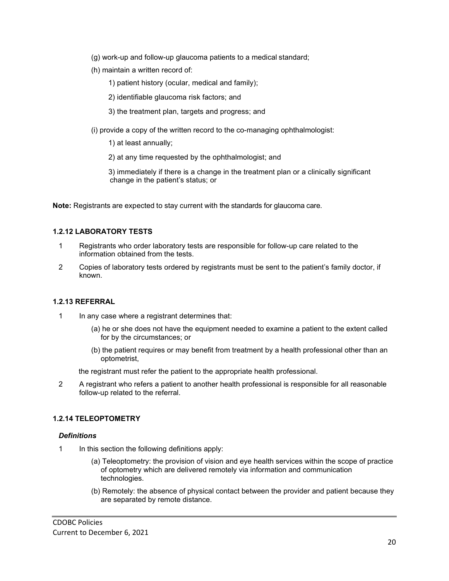- (g) work-up and follow-up glaucoma patients to a medical standard;
- (h) maintain a written record of:
	- 1) patient history (ocular, medical and family);
	- 2) identifiable glaucoma risk factors; and
	- 3) the treatment plan, targets and progress; and
- <span id="page-19-0"></span>(i) provide a copy of the written record to the co-managing ophthalmologist:
	- 1) at least annually;
	- 2) at any time requested by the ophthalmologist; and
	- 3) immediately if there is a change in the treatment plan or a clinically significant change in the patient's status; or

**Note:** Registrants are expected to stay current with the standards for glaucoma care.

## **1.2.12 LABORATORY TESTS**

- 1 Registrants who order laboratory tests are responsible for follow-up care related to the information obtained from the tests.
- 2 Copies of laboratory tests ordered by registrants must be sent to the patient's family doctor, if known.

## <span id="page-19-1"></span>**1.2.13 REFERRAL**

- 1 In any case where a registrant determines that:
	- (a) he or she does not have the equipment needed to examine a patient to the extent called for by the circumstances; or
	- (b) the patient requires or may benefit from treatment by a health professional other than an optometrist,

the registrant must refer the patient to the appropriate health professional.

2 A registrant who refers a patient to another health professional is responsible for all reasonable follow-up related to the referral.

## <span id="page-19-2"></span>**1.2.14 TELEOPTOMETRY**

## *Definitions*

- 1 In this section the following definitions apply:
	- (a) Teleoptometry: the provision of vision and eye health services within the scope of practice of optometry which are delivered remotely via information and communication technologies.
	- (b) Remotely: the absence of physical contact between the provider and patient because they are separated by remote distance.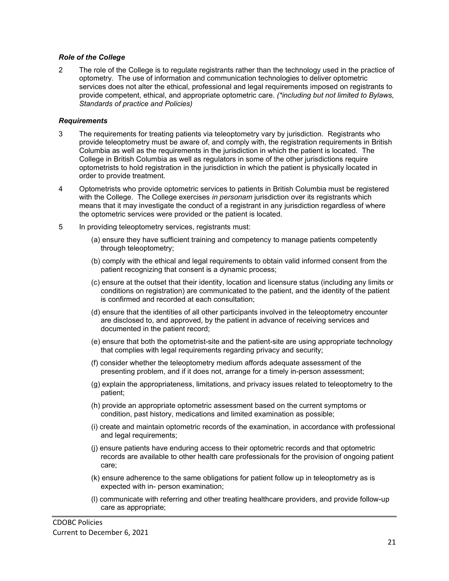## *Role of the College*

2 The role of the College is to regulate registrants rather than the technology used in the practice of optometry. The use of information and communication technologies to deliver optometric services does not alter the ethical, professional and legal requirements imposed on registrants to provide competent, ethical, and appropriate optometric care. *(\*including but not limited to Bylaws, Standards of practice and Policies)*

#### *Requirements*

- 3 The requirements for treating patients via teleoptometry vary by jurisdiction. Registrants who provide teleoptometry must be aware of, and comply with, the registration requirements in British Columbia as well as the requirements in the jurisdiction in which the patient is located. The College in British Columbia as well as regulators in some of the other jurisdictions require optometrists to hold registration in the jurisdiction in which the patient is physically located in order to provide treatment.
- 4 Optometrists who provide optometric services to patients in British Columbia must be registered with the College. The College exercises *in personam* jurisdiction over its registrants which means that it may investigate the conduct of a registrant in any jurisdiction regardless of where the optometric services were provided or the patient is located.
- 5 In providing teleoptometry services, registrants must:
	- (a) ensure they have sufficient training and competency to manage patients competently through teleoptometry;
	- (b) comply with the ethical and legal requirements to obtain valid informed consent from the patient recognizing that consent is a dynamic process;
	- (c) ensure at the outset that their identity, location and licensure status (including any limits or conditions on registration) are communicated to the patient, and the identity of the patient is confirmed and recorded at each consultation;
	- (d) ensure that the identities of all other participants involved in the teleoptometry encounter are disclosed to, and approved, by the patient in advance of receiving services and documented in the patient record;
	- (e) ensure that both the optometrist-site and the patient-site are using appropriate technology that complies with legal requirements regarding privacy and security;
	- (f) consider whether the teleoptometry medium affords adequate assessment of the presenting problem, and if it does not, arrange for a timely in-person assessment;
	- (g) explain the appropriateness, limitations, and privacy issues related to teleoptometry to the patient;
	- (h) provide an appropriate optometric assessment based on the current symptoms or condition, past history, medications and limited examination as possible;
	- (i) create and maintain optometric records of the examination, in accordance with professional and legal requirements;
	- (j) ensure patients have enduring access to their optometric records and that optometric records are available to other health care professionals for the provision of ongoing patient care;
	- (k) ensure adherence to the same obligations for patient follow up in teleoptometry as is expected with in- person examination;
	- (l) communicate with referring and other treating healthcare providers, and provide follow-up care as appropriate;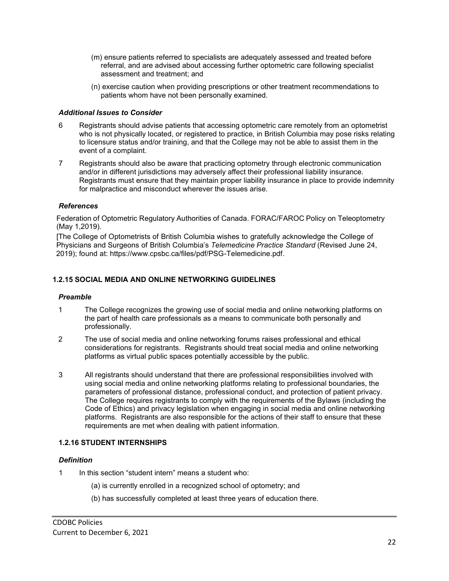- (m) ensure patients referred to specialists are adequately assessed and treated before referral, and are advised about accessing further optometric care following specialist assessment and treatment; and
- (n) exercise caution when providing prescriptions or other treatment recommendations to patients whom have not been personally examined.

## *Additional Issues to Consider*

- 6 Registrants should advise patients that accessing optometric care remotely from an optometrist who is not physically located, or registered to practice, in British Columbia may pose risks relating to licensure status and/or training, and that the College may not be able to assist them in the event of a complaint.
- 7 Registrants should also be aware that practicing optometry through electronic communication and/or in different jurisdictions may adversely affect their professional liability insurance. Registrants must ensure that they maintain proper liability insurance in place to provide indemnity for malpractice and misconduct wherever the issues arise.

## *References*

Federation of Optometric Regulatory Authorities of Canada. FORAC/FAROC Policy on Teleoptometry (May 1,2019).

[The College of Optometrists of British Columbia wishes to gratefully acknowledge the College of Physicians and Surgeons of British Columbia's *Telemedicine Practice Standard* (Revised June 24, 2019); found at: http[s://www.cpsbc.ca/files/pdf/PSG-Telemedicine.pdf.](http://www.cpsbc.ca/files/pdf/PSG-Telemedicine.pdf)

## <span id="page-21-0"></span>**1.2.15 SOCIAL MEDIA AND ONLINE NETWORKING GUIDELINES**

## *Preamble*

- 1 The College recognizes the growing use of social media and online networking platforms on the part of health care professionals as a means to communicate both personally and professionally.
- 2 The use of social media and online networking forums raises professional and ethical considerations for registrants. Registrants should treat social media and online networking platforms as virtual public spaces potentially accessible by the public.
- 3 All registrants should understand that there are professional responsibilities involved with using social media and online networking platforms relating to professional boundaries, the parameters of professional distance, professional conduct, and protection of patient privacy. The College requires registrants to comply with the requirements of the Bylaws (including the Code of Ethics) and privacy legislation when engaging in social media and online networking platforms. Registrants are also responsible for the actions of their staff to ensure that these requirements are met when dealing with patient information.

## <span id="page-21-1"></span>**1.2.16 STUDENT INTERNSHIPS**

## *Definition*

- 1 In this section "student intern" means a student who:
	- (a) is currently enrolled in a recognized school of optometry; and
	- (b) has successfully completed at least three years of education there.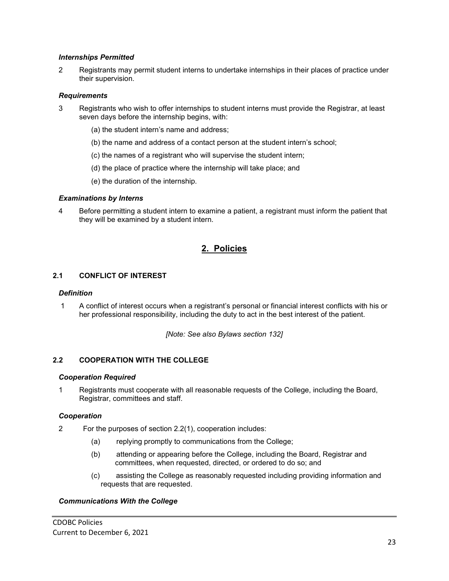## *Internships Permitted*

2 Registrants may permit student interns to undertake internships in their places of practice under their supervision.

#### *Requirements*

- 3 Registrants who wish to offer internships to student interns must provide the Registrar, at least seven days before the internship begins, with:
	- (a) the student intern's name and address;
	- (b) the name and address of a contact person at the student intern's school;
	- (c) the names of a registrant who will supervise the student intern;
	- (d) the place of practice where the internship will take place; and
	- (e) the duration of the internship.

#### *Examinations by Interns*

4 Before permitting a student intern to examine a patient, a registrant must inform the patient that they will be examined by a student intern.

## **2. Policies**

## <span id="page-22-1"></span><span id="page-22-0"></span>**2.1 CONFLICT OF INTEREST**

#### *Definition*

1 A conflict of interest occurs when a registrant's personal or financial interest conflicts with his or her professional responsibility, including the duty to act in the best interest of the patient.

*[Note: See also Bylaws section 132]*

## <span id="page-22-2"></span>**2.2 COOPERATION WITH THE COLLEGE**

#### *Cooperation Required*

1 Registrants must cooperate with all reasonable requests of the College, including the Board, Registrar, committees and staff.

#### *Cooperation*

- 2 For the purposes of section 2.2(1), cooperation includes:
	- (a) replying promptly to communications from the College;
	- (b) attending or appearing before the College, including the Board, Registrar and committees, when requested, directed, or ordered to do so; and
	- (c) assisting the College as reasonably requested including providing information and requests that are requested.

#### *Communications With the College*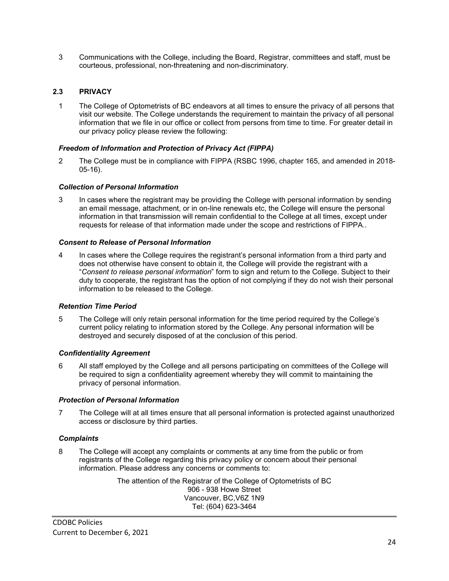3 Communications with the College, including the Board, Registrar, committees and staff, must be courteous, professional, non-threatening and non-discriminatory.

## <span id="page-23-0"></span>**2.3 PRIVACY**

1 The College of Optometrists of BC endeavors at all times to ensure the privacy of all persons that visit our website. The College understands the requirement to maintain the privacy of all personal information that we file in our office or collect from persons from time to time. For greater detail in our privacy policy please review the following:

## *Freedom of Information and Protection of Privacy Act (FIPPA)*

2 The College must be in compliance with FIPPA (RSBC 1996, chapter 165, and amended in 2018- 05-16).

## *Collection of Personal Information*

3 In cases where the registrant may be providing the College with personal information by sending an email message, attachment, or in on-line renewals etc, the College will ensure the personal information in that transmission will remain confidential to the College at all times, except under requests for release of that information made under the scope and restrictions of FIPPA..

#### *Consent to Release of Personal Information*

4 In cases where the College requires the registrant's personal information from a third party and does not otherwise have consent to obtain it, the College will provide the registrant with a "*Consent to release personal information*" form to sign and return to the College. Subject to their duty to cooperate, the registrant has the option of not complying if they do not wish their personal information to be released to the College.

#### *Retention Time Period*

5 The College will only retain personal information for the time period required by the College's current policy relating to information stored by the College. Any personal information will be destroyed and securely disposed of at the conclusion of this period.

## *Confidentiality Agreement*

6 All staff employed by the College and all persons participating on committees of the College will be required to sign a confidentiality agreement whereby they will commit to maintaining the privacy of personal information.

#### *Protection of Personal Information*

7 The College will at all times ensure that all personal information is protected against unauthorized access or disclosure by third parties.

#### *Complaints*

8 The College will accept any complaints or comments at any time from the public or from registrants of the College regarding this privacy policy or concern about their personal information. Please address any concerns or comments to:

> The attention of the Registrar of the College of Optometrists of BC 906 - 938 Howe Street Vancouver, BC,V6Z 1N9 Tel: (604) 623-3464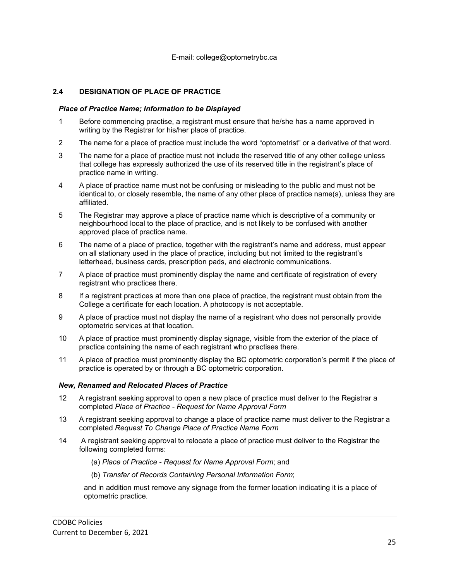## <span id="page-24-0"></span>**2.4 DESIGNATION OF PLACE OF PRACTICE**

#### *Place of Practice Name; Information to be Displayed*

- 1 Before commencing practise, a registrant must ensure that he/she has a name approved in writing by the Registrar for his/her place of practice.
- 2 The name for a place of practice must include the word "optometrist" or a derivative of that word.
- 3 The name for a place of practice must not include the reserved title of any other college unless that college has expressly authorized the use of its reserved title in the registrant's place of practice name in writing.
- 4 A place of practice name must not be confusing or misleading to the public and must not be identical to, or closely resemble, the name of any other place of practice name(s), unless they are affiliated.
- 5 The Registrar may approve a place of practice name which is descriptive of a community or neighbourhood local to the place of practice, and is not likely to be confused with another approved place of practice name.
- 6 The name of a place of practice, together with the registrant's name and address, must appear on all stationary used in the place of practice, including but not limited to the registrant's letterhead, business cards, prescription pads, and electronic communications.
- 7 A place of practice must prominently display the name and certificate of registration of every registrant who practices there.
- 8 If a registrant practices at more than one place of practice, the registrant must obtain from the College a certificate for each location. A photocopy is not acceptable.
- 9 A place of practice must not display the name of a registrant who does not personally provide optometric services at that location.
- 10 A place of practice must prominently display signage, visible from the exterior of the place of practice containing the name of each registrant who practises there.
- 11 A place of practice must prominently display the BC optometric corporation's permit if the place of practice is operated by or through a BC optometric corporation.

#### *New, Renamed and Relocated Places of Practice*

- 12 A registrant seeking approval to open a new place of practice must deliver to the Registrar a completed *Place of Practice - Request for Name Approval Form*
- 13 A registrant seeking approval to change a place of practice name must deliver to the Registrar a completed *Request To Change Place of Practice Name Form*
- 14 A registrant seeking approval to relocate a place of practice must deliver to the Registrar the following completed forms:
	- (a) *Place of Practice - Request for Name Approval Form*; and
	- (b) *Transfer of Records Containing Personal Information Form*;

and in addition must remove any signage from the former location indicating it is a place of optometric practice.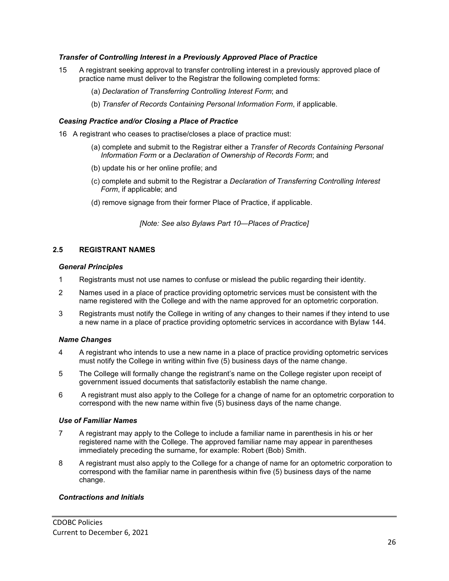## *Transfer of Controlling Interest in a Previously Approved Place of Practice*

- 15 A registrant seeking approval to transfer controlling interest in a previously approved place of practice name must deliver to the Registrar the following completed forms:
	- (a) *Declaration of Transferring Controlling Interest Form*; and
	- (b) *Transfer of Records Containing Personal Information Form*, if applicable.

#### *Ceasing Practice and/or Closing a Place of Practice*

- 16 A registrant who ceases to practise/closes a place of practice must:
	- (a) complete and submit to the Registrar either a *Transfer of Records Containing Personal Information Form* or a *Declaration of Ownership of Records Form*; and
	- (b) update his or her online profile; and
	- (c) complete and submit to the Registrar a *Declaration of Transferring Controlling Interest Form*, if applicable; and
	- (d) remove signage from their former Place of Practice, if applicable.

*[Note: See also Bylaws Part 10—Places of Practice]*

#### <span id="page-25-0"></span>**2.5 REGISTRANT NAMES**

#### *General Principles*

- 1 Registrants must not use names to confuse or mislead the public regarding their identity.
- 2 Names used in a place of practice providing optometric services must be consistent with the name registered with the College and with the name approved for an optometric corporation.
- 3 Registrants must notify the College in writing of any changes to their names if they intend to use a new name in a place of practice providing optometric services in accordance with Bylaw 144.

## *Name Changes*

- 4 A registrant who intends to use a new name in a place of practice providing optometric services must notify the College in writing within five (5) business days of the name change.
- 5 The College will formally change the registrant's name on the College register upon receipt of government issued documents that satisfactorily establish the name change.
- 6 A registrant must also apply to the College for a change of name for an optometric corporation to correspond with the new name within five (5) business days of the name change.

#### *Use of Familiar Names*

- 7 A registrant may apply to the College to include a familiar name in parenthesis in his or her registered name with the College. The approved familiar name may appear in parentheses immediately preceding the surname, for example: Robert (Bob) Smith.
- 8 A registrant must also apply to the College for a change of name for an optometric corporation to correspond with the familiar name in parenthesis within five (5) business days of the name change.

#### *Contractions and Initials*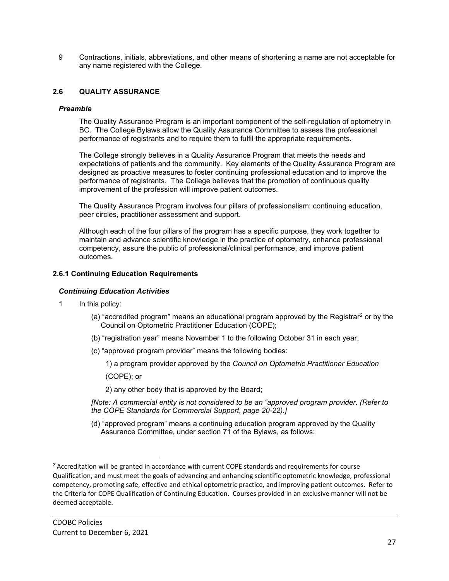9 Contractions, initials, abbreviations, and other means of shortening a name are not acceptable for any name registered with the College.

## <span id="page-26-0"></span>**2.6 QUALITY ASSURANCE**

#### *Preamble*

The Quality Assurance Program is an important component of the self-regulation of optometry in BC. The College Bylaws allow the Quality Assurance Committee to assess the professional performance of registrants and to require them to fulfil the appropriate requirements.

The College strongly believes in a Quality Assurance Program that meets the needs and expectations of patients and the community. Key elements of the Quality Assurance Program are designed as proactive measures to foster continuing professional education and to improve the performance of registrants. The College believes that the promotion of continuous quality improvement of the profession will improve patient outcomes.

The Quality Assurance Program involves four pillars of professionalism: continuing education, peer circles, practitioner assessment and support.

Although each of the four pillars of the program has a specific purpose, they work together to maintain and advance scientific knowledge in the practice of optometry, enhance professional competency, assure the public of professional/clinical performance, and improve patient outcomes.

#### <span id="page-26-1"></span>**2.6.1 Continuing Education Requirements**

## *Continuing Education Activities*

- 1 In this policy:
	- (a) "accredited program" means an educational program approved by the Registrar<sup>[2](#page-26-2)</sup> or by the Council on Optometric Practitioner Education (COPE);
	- (b) "registration year" means November 1 to the following October 31 in each year;
	- (c) "approved program provider" means the following bodies:

1) a program provider approved by the *Council on Optometric Practitioner Education*

(COPE); or

2) any other body that is approved by the Board;

*[Note: A commercial entity is not considered to be an "approved program provider. (Refer to the COPE Standards for Commercial Support, page 20-22).]*

(d) "approved program" means a continuing education program approved by the Quality Assurance Committee, under section 71 of the Bylaws, as follows:

<span id="page-26-2"></span> $<sup>2</sup>$  Accreditation will be granted in accordance with current COPE standards and requirements for course</sup> Qualification, and must meet the goals of advancing and enhancing scientific optometric knowledge, professional competency, promoting safe, effective and ethical optometric practice, and improving patient outcomes. Refer to the Criteria for COPE Qualification of Continuing Education. Courses provided in an exclusive manner will not be deemed acceptable.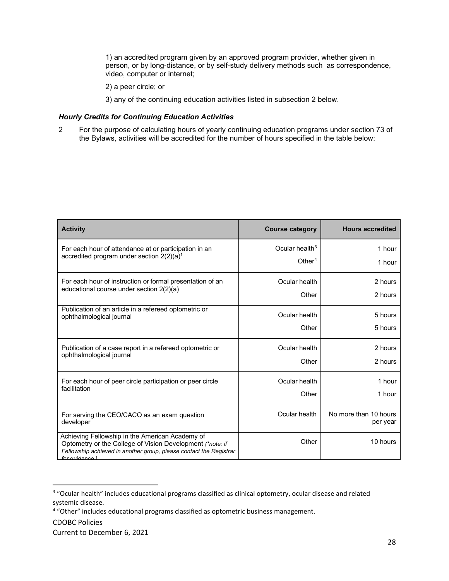1) an accredited program given by an approved program provider, whether given in person, or by long-distance, or by self-study delivery methods such as correspondence, video, computer or internet;

- 2) a peer circle; or
- 3) any of the continuing education activities listed in subsection 2 below.

## *Hourly Credits for Continuing Education Activities*

2 For the purpose of calculating hours of yearly continuing education programs under [section 73](http://optometrybc.com/wp-content/uploads/2018/09/Bylaws_DEC_15_2017_APP_MOH_POSTED_ON_WEBSITE.pdf#page=25) of the Bylaws, activities will be accredited for the number of hours specified in the table below:

| <b>Activity</b>                                                                                                                                                                                           | <b>Course category</b> | <b>Hours accredited</b>           |
|-----------------------------------------------------------------------------------------------------------------------------------------------------------------------------------------------------------|------------------------|-----------------------------------|
| For each hour of attendance at or participation in an                                                                                                                                                     | Ocular health $3$      | 1 hour                            |
| accredited program under section $2(2)(a)^1$                                                                                                                                                              | Other <sup>4</sup>     | 1 hour                            |
| For each hour of instruction or formal presentation of an                                                                                                                                                 | Ocular health          | 2 hours                           |
| educational course under section 2(2)(a)                                                                                                                                                                  | Other                  | 2 hours                           |
| Publication of an article in a refereed optometric or                                                                                                                                                     | Ocular health          | 5 hours                           |
| ophthalmological journal                                                                                                                                                                                  | Other                  | 5 hours                           |
| Publication of a case report in a refereed optometric or                                                                                                                                                  | Ocular health          | 2 hours                           |
| ophthalmological journal                                                                                                                                                                                  | Other                  | 2 hours                           |
| For each hour of peer circle participation or peer circle                                                                                                                                                 | Ocular health          | 1 hour                            |
| facilitation                                                                                                                                                                                              | Other                  | 1 hour                            |
| For serving the CEO/CACO as an exam question<br>developer                                                                                                                                                 | Ocular health          | No more than 10 hours<br>per year |
| Achieving Fellowship in the American Academy of<br>Optometry or the College of Vision Development (*note: if<br>Fellowship achieved in another group, please contact the Registrar<br>for <i>quidance</i> | Other                  | 10 hours                          |

<span id="page-27-0"></span><sup>&</sup>lt;sup>3</sup> "Ocular health" includes educational programs classified as clinical optometry, ocular disease and related systemic disease.

<span id="page-27-1"></span><sup>4</sup> "Other" includes educational programs classified as optometric business management.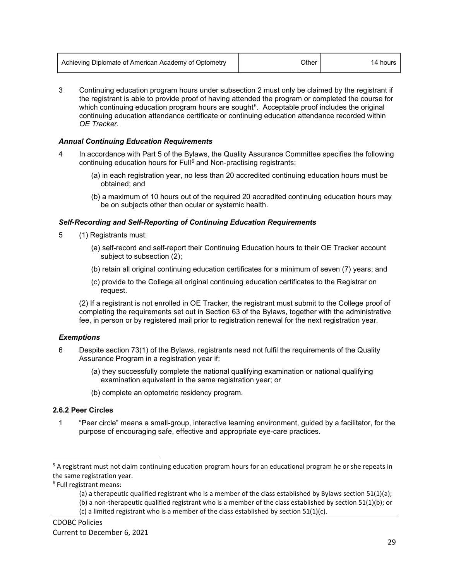| Achieving Diplomate of American Academy of Optometry | วther | hours |
|------------------------------------------------------|-------|-------|
|------------------------------------------------------|-------|-------|

3 Continuing education program hours under subsection 2 must only be claimed by the registrant if the registrant is able to provide proof of having attended the program or completed the course for which continuing education program hours are sought<sup>[5](#page-28-1)</sup>. Acceptable proof includes the original continuing education attendance certificate or continuing education attendance recorded within *OE Tracker*.

#### *Annual Continuing Education Requirements*

- 4 In accordance with Part 5 of the Bylaws, the Quality Assurance Committee specifies the following continuing education hours for Full<sup>[6](#page-28-2)</sup> and Non-practising registrants:
	- (a) in each registration year, no less than 20 accredited continuing education hours must be obtained; and
	- (b) a maximum of 10 hours out of the required 20 accredited continuing education hours may be on subjects other than ocular or systemic health.

#### *Self-Recording and Self-Reporting of Continuing Education Requirements*

- 5 (1) Registrants must:
	- (a) self-record and self-report their Continuing Education hours to their OE Tracker account subject to subsection (2);
	- (b) retain all original continuing education certificates for a minimum of seven (7) years; and
	- (c) provide to the College all original continuing education certificates to the Registrar on request.

(2) If a registrant is not enrolled in OE Tracker, the registrant must submit to the College proof of completing the requirements set out in Section 63 of the Bylaws, together with the administrative fee, in person or by registered mail prior to registration renewal for the next registration year.

## *Exemptions*

- 6 Despite section 73(1) of the Bylaws, registrants need not fulfil the requirements of the Quality Assurance Program in a registration year if:
	- (a) they successfully complete the national qualifying examination or national qualifying examination equivalent in the same registration year; or
	- (b) complete an optometric residency program.

#### <span id="page-28-0"></span>**2.6.2 Peer Circles**

1 "Peer circle" means a small-group, interactive learning environment, guided by a facilitator, for the purpose of encouraging safe, effective and appropriate eye-care practices.

<span id="page-28-2"></span><sup>6</sup> Full registrant means:

<span id="page-28-1"></span><sup>&</sup>lt;sup>5</sup> A registrant must not claim continuing education program hours for an educational program he or she repeats in the same registration year.

<sup>(</sup>a) a therapeutic qualified registrant who is a member of the class established by Bylaws section 51(1)(a);

<sup>(</sup>b) a non-therapeutic qualified registrant who is a member of the class established by section 51(1)(b); or (c) a limited registrant who is a member of the class established by section 51(1)(c).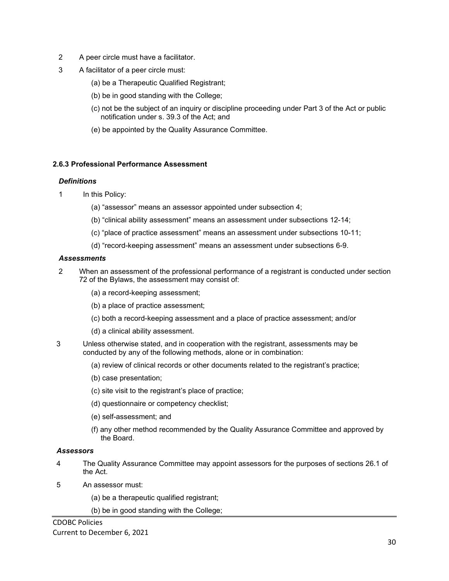- 2 A peer circle must have a facilitator.
- 3 A facilitator of a peer circle must:
	- (a) be a Therapeutic Qualified Registrant;
	- (b) be in good standing with the College;
	- (c) not be the subject of an inquiry or discipline proceeding under Part 3 of the Act or public notification under s. 39.3 of the Act; and
	- (e) be appointed by the Quality Assurance Committee.

#### <span id="page-29-0"></span>**2.6.3 Professional Performance Assessment**

#### *Definitions*

- 1 In this Policy:
	- (a) "assessor" means an assessor appointed under subsection 4;
	- (b) "clinical ability assessment" means an assessment under subsections 12-14;
	- (c) "place of practice assessment" means an assessment under subsections 10-11;
	- (d) "record-keeping assessment" means an assessment under subsections 6-9.

#### *Assessments*

- 2 When an assessment of the professional performance of a registrant is conducted under section 72 of the Bylaws, the assessment may consist of:
	- (a) a record-keeping assessment;
	- (b) a place of practice assessment;
	- (c) both a record-keeping assessment and a place of practice assessment; and/or
	- (d) a clinical ability assessment.
- 3 Unless otherwise stated, and in cooperation with the registrant, assessments may be conducted by any of the following methods, alone or in combination:
	- (a) review of clinical records or other documents related to the registrant's practice;
	- (b) case presentation;
	- (c) site visit to the registrant's place of practice;
	- (d) questionnaire or competency checklist;
	- (e) self-assessment; and
	- (f) any other method recommended by the Quality Assurance Committee and approved by the Board.

#### *Assessors*

- 4 The Quality Assurance Committee may appoint assessors for the purposes of sections 26.1 of the Act.
- 5 An assessor must:
	- (a) be a therapeutic qualified registrant;
	- (b) be in good standing with the College;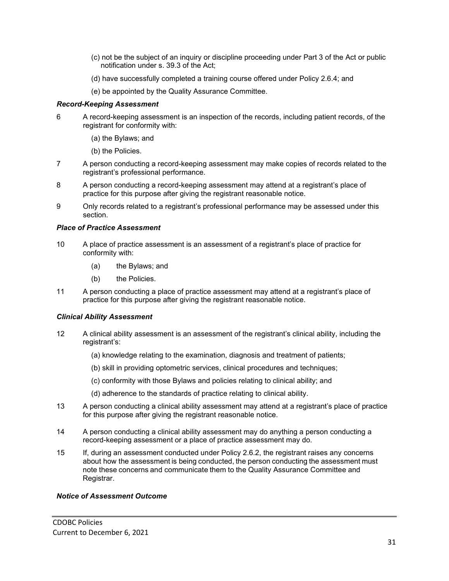- (c) not be the subject of an inquiry or discipline proceeding under Part 3 of the Act or public notification under s. 39.3 of the Act;
- (d) have successfully completed a training course offered under Policy 2.6.4; and
- (e) be appointed by the Quality Assurance Committee.

## *Record-Keeping Assessment*

- 6 A record-keeping assessment is an inspection of the records, including patient records, of the registrant for conformity with:
	- (a) the Bylaws; and
	- (b) the Policies.
- 7 A person conducting a record-keeping assessment may make copies of records related to the registrant's professional performance.
- 8 A person conducting a record-keeping assessment may attend at a registrant's place of practice for this purpose after giving the registrant reasonable notice.
- 9 Only records related to a registrant's professional performance may be assessed under this section.

## *Place of Practice Assessment*

- 10 A place of practice assessment is an assessment of a registrant's place of practice for conformity with:
	- (a) the Bylaws; and
	- (b) the Policies.
- 11 A person conducting a place of practice assessment may attend at a registrant's place of practice for this purpose after giving the registrant reasonable notice.

## *Clinical Ability Assessment*

- 12 A clinical ability assessment is an assessment of the registrant's clinical ability, including the registrant's:
	- (a) knowledge relating to the examination, diagnosis and treatment of patients;
	- (b) skill in providing optometric services, clinical procedures and techniques;
	- (c) conformity with those Bylaws and policies relating to clinical ability; and
	- (d) adherence to the standards of practice relating to clinical ability.
- 13 A person conducting a clinical ability assessment may attend at a registrant's place of practice for this purpose after giving the registrant reasonable notice.
- 14 A person conducting a clinical ability assessment may do anything a person conducting a record-keeping assessment or a place of practice assessment may do.
- 15 If, during an assessment conducted under Policy 2.6.2, the registrant raises any concerns about how the assessment is being conducted, the person conducting the assessment must note these concerns and communicate them to the Quality Assurance Committee and Registrar.

## *Notice of Assessment Outcome*